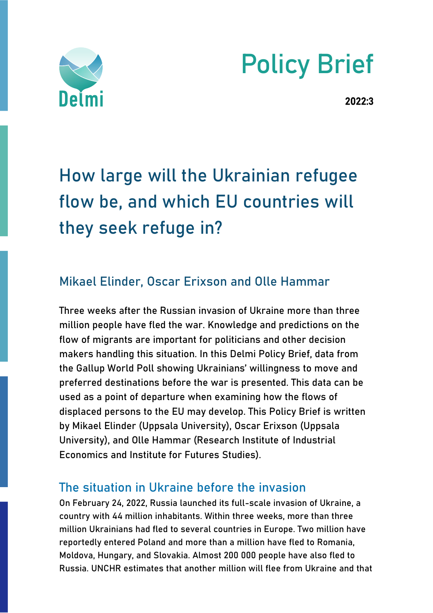

# Policy Brief

2022:3

# How large will the Ukrainian refugee flow be, and which EU countries will they seek refuge in?

# Mikael Elinder, Oscar Erixson and Olle Hammar

Three weeks after the Russian invasion of Ukraine more than three million people have fled the war. Knowledge and predictions on the flow of migrants are important for politicians and other decision makers handling this situation. In this Delmi Policy Brief, data from the Gallup World Poll showing Ukrainians' willingness to move and preferred destinations before the war is presented. This data can be used as a point of departure when examining how the flows of displaced persons to the EU may develop. This Policy Brief is written by Mikael Elinder (Uppsala University), Oscar Erixson (Uppsala University), and Olle Hammar (Research Institute of Industrial Economics and Institute for Futures Studies).

#### The situation in Ukraine before the invasion

On February 24, 2022, Russia launched its full-scale invasion of Ukraine, a country with 44 million inhabitants. Within three weeks, more than three million Ukrainians had fled to several countries in Europe. Two million have reportedly entered Poland and more than a million have fled to Romania, Moldova, Hungary, and Slovakia. Almost 200 000 people have also fled to Russia. UNCHR estimates that another million will flee from Ukraine and that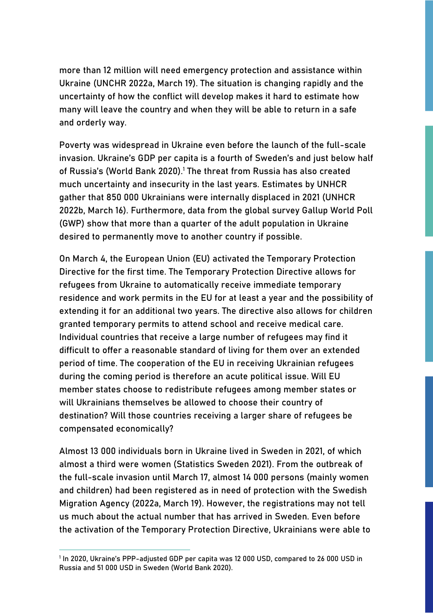more than 12 million will need emergency protection and assistance within Ukraine (UNCHR 2022a, March 19). The situation is changing rapidly and the uncertainty of how the conflict will develop makes it hard to estimate how many will leave the country and when they will be able to return in a safe and orderly way.

Poverty was widespread in Ukraine even before the launch of the full-scale invasion. Ukraine's GDP per capita is a fourth of Sweden's and just below half of Russia's (World Bank 2020).<sup>1</sup> The threat from Russia has also created much uncertainty and insecurity in the last years. Estimates by UNHCR gather that 850 000 Ukrainians were internally displaced in 2021 (UNHCR 2022b, March 16). Furthermore, data from the global survey Gallup World Poll (GWP) show that more than a quarter of the adult population in Ukraine desired to permanently move to another country if possible.

On March 4, the European Union (EU) activated the Temporary Protection Directive for the first time. The Temporary Protection Directive allows for refugees from Ukraine to automatically receive immediate temporary residence and work permits in the EU for at least a year and the possibility of extending it for an additional two years. The directive also allows for children granted temporary permits to attend school and receive medical care. Individual countries that receive a large number of refugees may find it difficult to offer a reasonable standard of living for them over an extended period of time. The cooperation of the EU in receiving Ukrainian refugees during the coming period is therefore an acute political issue. Will EU member states choose to redistribute refugees among member states or will Ukrainians themselves be allowed to choose their country of destination? Will those countries receiving a larger share of refugees be compensated economically?

Almost 13 000 individuals born in Ukraine lived in Sweden in 2021, of which almost a third were women (Statistics Sweden 2021). From the outbreak of the full-scale invasion until March 17, almost 14 000 persons (mainly women and children) had been registered as in need of protection with the Swedish Migration Agency (2022a, March 19). However, the registrations may not tell us much about the actual number that has arrived in Sweden. Even before the activation of the Temporary Protection Directive, Ukrainians were able to

<sup>1</sup> In 2020, Ukraine's PPP-adjusted GDP per capita was 12 000 USD, compared to 26 000 USD in Russia and 51 000 USD in Sweden (World Bank 2020).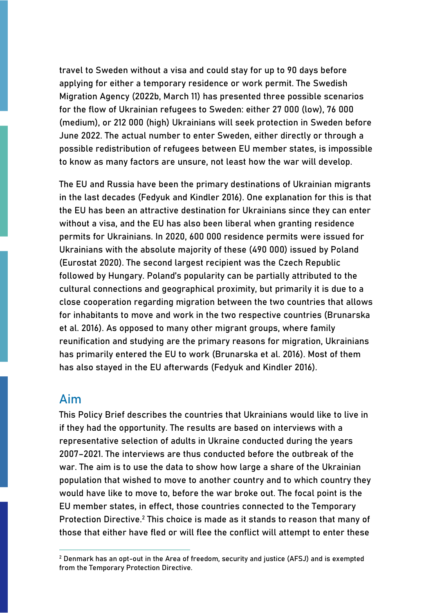travel to Sweden without a visa and could stay for up to 90 days before applying for either a temporary residence or work permit. The Swedish Migration Agency (2022b, March 11) has presented three possible scenarios for the flow of Ukrainian refugees to Sweden: either 27 000 (low), 76 000 (medium), or 212 000 (high) Ukrainians will seek protection in Sweden before June 2022. The actual number to enter Sweden, either directly or through a possible redistribution of refugees between EU member states, is impossible to know as many factors are unsure, not least how the war will develop.

The EU and Russia have been the primary destinations of Ukrainian migrants in the last decades (Fedyuk and Kindler 2016). One explanation for this is that the EU has been an attractive destination for Ukrainians since they can enter without a visa, and the EU has also been liberal when granting residence permits for Ukrainians. In 2020, 600 000 residence permits were issued for Ukrainians with the absolute majority of these (490 000) issued by Poland (Eurostat 2020). The second largest recipient was the Czech Republic followed by Hungary. Poland's popularity can be partially attributed to the cultural connections and geographical proximity, but primarily it is due to a close cooperation regarding migration between the two countries that allows for inhabitants to move and work in the two respective countries (Brunarska et al. 2016). As opposed to many other migrant groups, where family reunification and studying are the primary reasons for migration, Ukrainians has primarily entered the EU to work (Brunarska et al. 2016). Most of them has also stayed in the EU afterwards (Fedyuk and Kindler 2016).

#### Aim

This Policy Brief describes the countries that Ukrainians would like to live in if they had the opportunity. The results are based on interviews with a representative selection of adults in Ukraine conducted during the years 2007–2021. The interviews are thus conducted before the outbreak of the war. The aim is to use the data to show how large a share of the Ukrainian population that wished to move to another country and to which country they would have like to move to, before the war broke out. The focal point is the EU member states, in effect, those countries connected to the Temporary Protection Directive.<sup>2</sup> This choice is made as it stands to reason that many of those that either have fled or will flee the conflict will attempt to enter these

 $<sup>2</sup>$  Denmark has an opt-out in the Area of freedom, security and justice (AFSJ) and is exempted</sup> from the Temporary Protection Directive.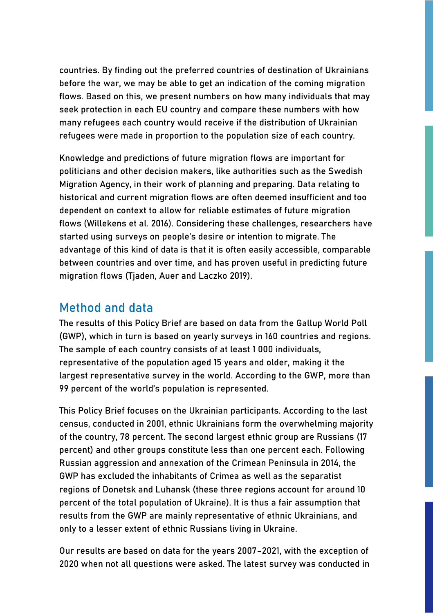countries. By finding out the preferred countries of destination of Ukrainians before the war, we may be able to get an indication of the coming migration flows. Based on this, we present numbers on how many individuals that may seek protection in each EU country and compare these numbers with how many refugees each country would receive if the distribution of Ukrainian refugees were made in proportion to the population size of each country.

Knowledge and predictions of future migration flows are important for politicians and other decision makers, like authorities such as the Swedish Migration Agency, in their work of planning and preparing. Data relating to historical and current migration flows are often deemed insufficient and too dependent on context to allow for reliable estimates of future migration flows (Willekens et al. 2016). Considering these challenges, researchers have started using surveys on people's desire or intention to migrate. The advantage of this kind of data is that it is often easily accessible, comparable between countries and over time, and has proven useful in predicting future migration flows (Tjaden, Auer and Laczko 2019).

#### Method and data

The results of this Policy Brief are based on data from the Gallup World Poll (GWP), which in turn is based on yearly surveys in 160 countries and regions. The sample of each country consists of at least 1 000 individuals, representative of the population aged 15 years and older, making it the largest representative survey in the world. According to the GWP, more than 99 percent of the world's population is represented.

This Policy Brief focuses on the Ukrainian participants. According to the last census, conducted in 2001, ethnic Ukrainians form the overwhelming majority of the country, 78 percent. The second largest ethnic group are Russians (17 percent) and other groups constitute less than one percent each. Following Russian aggression and annexation of the Crimean Peninsula in 2014, the GWP has excluded the inhabitants of Crimea as well as the separatist regions of Donetsk and Luhansk (these three regions account for around 10 percent of the total population of Ukraine). It is thus a fair assumption that results from the GWP are mainly representative of ethnic Ukrainians, and only to a lesser extent of ethnic Russians living in Ukraine.

Our results are based on data for the years 2007–2021, with the exception of 2020 when not all questions were asked. The latest survey was conducted in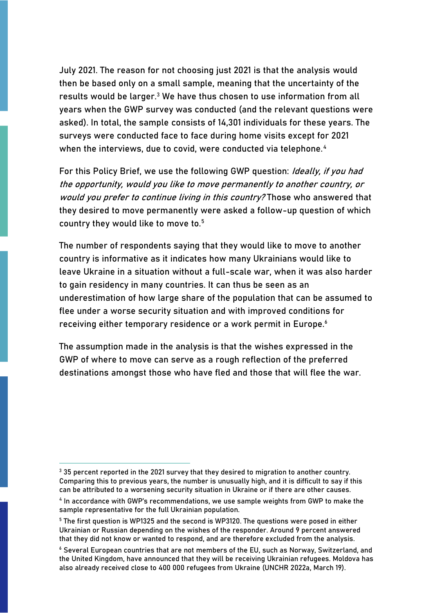July 2021. The reason for not choosing just 2021 is that the analysis would then be based only on a small sample, meaning that the uncertainty of the results would be larger.<sup>3</sup> We have thus chosen to use information from all years when the GWP survey was conducted (and the relevant questions were asked). In total, the sample consists of 14,301 individuals for these years. The surveys were conducted face to face during home visits except for 2021 when the interviews, due to covid, were conducted via telephone.<sup>4</sup>

For this Policy Brief, we use the following GWP question: Ideally, if you had the opportunity, would you like to move permanently to another country, or would you prefer to continue living in this country? Those who answered that they desired to move permanently were asked a follow-up question of which country they would like to move to.<sup>5</sup>

The number of respondents saying that they would like to move to another country is informative as it indicates how many Ukrainians would like to leave Ukraine in a situation without a full-scale war, when it was also harder to gain residency in many countries. It can thus be seen as an underestimation of how large share of the population that can be assumed to flee under a worse security situation and with improved conditions for receiving either temporary residence or a work permit in Europe.<sup>6</sup>

The assumption made in the analysis is that the wishes expressed in the GWP of where to move can serve as a rough reflection of the preferred destinations amongst those who have fled and those that will flee the war.

<sup>&</sup>lt;sup>3</sup> 35 percent reported in the 2021 survey that they desired to migration to another country. Comparing this to previous years, the number is unusually high, and it is difficult to say if this can be attributed to a worsening security situation in Ukraine or if there are other causes.

<sup>4</sup> In accordance with GWP's recommendations, we use sample weights from GWP to make the sample representative for the full Ukrainian population.

<sup>5</sup> The first question is WP1325 and the second is WP3120. The questions were posed in either Ukrainian or Russian depending on the wishes of the responder. Around 9 percent answered that they did not know or wanted to respond, and are therefore excluded from the analysis.

<sup>6</sup> Several European countries that are not members of the EU, such as Norway, Switzerland, and the United Kingdom, have announced that they will be receiving Ukrainian refugees. Moldova has also already received close to 400 000 refugees from Ukraine (UNCHR 2022a, March 19).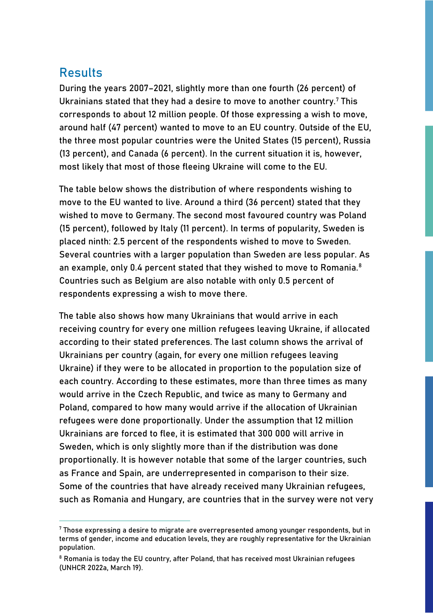### Results

During the years 2007–2021, slightly more than one fourth (26 percent) of Ukrainians stated that they had a desire to move to another country.<sup>7</sup> This corresponds to about 12 million people. Of those expressing a wish to move, around half (47 percent) wanted to move to an EU country. Outside of the EU, the three most popular countries were the United States (15 percent), Russia (13 percent), and Canada (6 percent). In the current situation it is, however, most likely that most of those fleeing Ukraine will come to the EU.

The table below shows the distribution of where respondents wishing to move to the EU wanted to live. Around a third (36 percent) stated that they wished to move to Germany. The second most favoured country was Poland (15 percent), followed by Italy (11 percent). In terms of popularity, Sweden is placed ninth: 2.5 percent of the respondents wished to move to Sweden. Several countries with a larger population than Sweden are less popular. As an example, only 0.4 percent stated that they wished to move to Romania.<sup>8</sup> Countries such as Belgium are also notable with only 0.5 percent of respondents expressing a wish to move there.

The table also shows how many Ukrainians that would arrive in each receiving country for every one million refugees leaving Ukraine, if allocated according to their stated preferences. The last column shows the arrival of Ukrainians per country (again, for every one million refugees leaving Ukraine) if they were to be allocated in proportion to the population size of each country. According to these estimates, more than three times as many would arrive in the Czech Republic, and twice as many to Germany and Poland, compared to how many would arrive if the allocation of Ukrainian refugees were done proportionally. Under the assumption that 12 million Ukrainians are forced to flee, it is estimated that 300 000 will arrive in Sweden, which is only slightly more than if the distribution was done proportionally. It is however notable that some of the larger countries, such as France and Spain, are underrepresented in comparison to their size. Some of the countries that have already received many Ukrainian refugees, such as Romania and Hungary, are countries that in the survey were not very

 $^7$  Those expressing a desire to migrate are overrepresented among younger respondents, but in terms of gender, income and education levels, they are roughly representative for the Ukrainian population.

<sup>&</sup>lt;sup>8</sup> Romania is today the EU country, after Poland, that has received most Ukrainian refugees (UNHCR 2022a, March 19).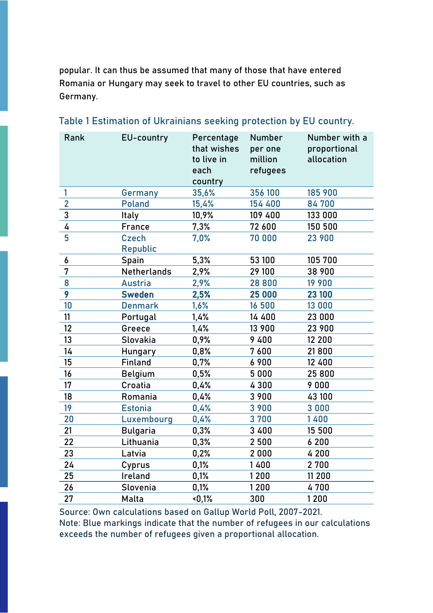popular. It can thus be assumed that many of those that have entered Romania or Hungary may seek to travel to other EU countries, such as Germany.

| 356 100<br>185 900<br>1<br>35,6%<br>Germany<br>$\overline{2}$<br>84700<br><b>Poland</b><br>15,4%<br>154 400<br>3<br>10,9%<br>109 400<br>133 000<br>Italy<br>4<br>7,3%<br>72 600<br>150 500<br>France<br>5<br>70 000<br><b>Czech</b><br>7,0%<br>23 900<br><b>Republic</b><br>5,3%<br>105 700<br>53 100<br>6<br>Spain<br>7<br>38 900<br>Netherlands<br>2,9%<br>29 100<br>8<br>28 800<br>19 900<br><b>Austria</b><br>2,9%<br>9<br>25 000<br><b>Sweden</b><br>2,5%<br>23 100<br>10<br>1,6%<br>16 500<br><b>Denmark</b><br>13 000<br>11<br>1,4%<br>14 400<br>23 000<br>Portugal<br>12<br>Greece<br>13 900<br>23 900<br>1,4%<br>13<br>Slovakia<br>9 4 0 0<br>12 200<br>0,9%<br>0,8%<br>7600<br>21800<br>14<br>Hungary<br>15<br>12 400<br>Finland<br>0,7%<br>6 9 0 0<br>5 0 0 0<br>25 800<br>16<br>0,5%<br><b>Belgium</b><br>17<br>Croatia<br>4300<br>9000<br>0,4%<br>18<br>0,4%<br>3 9 0 0<br>Romania<br>43 100<br>19<br>3 9 0 0<br><b>Estonia</b><br>0,4%<br>3 0 0 0<br>20<br>3700<br>1400<br>Luxembourg<br>0,4%<br>21<br>15 500<br>0,3%<br>3 4 0 0<br><b>Bulgaria</b><br>22<br>0,3%<br>2 500<br>6 200<br>Lithuania<br>2000<br>23<br>Latvia<br>0,2%<br>4 200<br>24<br>0,1%<br>1400<br>2 7 0 0<br>Cyprus<br>25<br>0,1%<br>1200<br>11 200<br>Ireland<br>1200<br>4700<br>26<br>Slovenia<br>0,1%<br>27<br>Malta<br>$-0,1%$<br>300<br>1200 | Rank | EU-country | Percentage<br>that wishes<br>to live in<br>each<br>country | Number<br>per one<br>million<br>refugees | Number with a<br>proportional<br>allocation |
|----------------------------------------------------------------------------------------------------------------------------------------------------------------------------------------------------------------------------------------------------------------------------------------------------------------------------------------------------------------------------------------------------------------------------------------------------------------------------------------------------------------------------------------------------------------------------------------------------------------------------------------------------------------------------------------------------------------------------------------------------------------------------------------------------------------------------------------------------------------------------------------------------------------------------------------------------------------------------------------------------------------------------------------------------------------------------------------------------------------------------------------------------------------------------------------------------------------------------------------------------------------------------------------------------------------------------------|------|------------|------------------------------------------------------------|------------------------------------------|---------------------------------------------|
|                                                                                                                                                                                                                                                                                                                                                                                                                                                                                                                                                                                                                                                                                                                                                                                                                                                                                                                                                                                                                                                                                                                                                                                                                                                                                                                                  |      |            |                                                            |                                          |                                             |
|                                                                                                                                                                                                                                                                                                                                                                                                                                                                                                                                                                                                                                                                                                                                                                                                                                                                                                                                                                                                                                                                                                                                                                                                                                                                                                                                  |      |            |                                                            |                                          |                                             |
|                                                                                                                                                                                                                                                                                                                                                                                                                                                                                                                                                                                                                                                                                                                                                                                                                                                                                                                                                                                                                                                                                                                                                                                                                                                                                                                                  |      |            |                                                            |                                          |                                             |
|                                                                                                                                                                                                                                                                                                                                                                                                                                                                                                                                                                                                                                                                                                                                                                                                                                                                                                                                                                                                                                                                                                                                                                                                                                                                                                                                  |      |            |                                                            |                                          |                                             |
|                                                                                                                                                                                                                                                                                                                                                                                                                                                                                                                                                                                                                                                                                                                                                                                                                                                                                                                                                                                                                                                                                                                                                                                                                                                                                                                                  |      |            |                                                            |                                          |                                             |
|                                                                                                                                                                                                                                                                                                                                                                                                                                                                                                                                                                                                                                                                                                                                                                                                                                                                                                                                                                                                                                                                                                                                                                                                                                                                                                                                  |      |            |                                                            |                                          |                                             |
|                                                                                                                                                                                                                                                                                                                                                                                                                                                                                                                                                                                                                                                                                                                                                                                                                                                                                                                                                                                                                                                                                                                                                                                                                                                                                                                                  |      |            |                                                            |                                          |                                             |
|                                                                                                                                                                                                                                                                                                                                                                                                                                                                                                                                                                                                                                                                                                                                                                                                                                                                                                                                                                                                                                                                                                                                                                                                                                                                                                                                  |      |            |                                                            |                                          |                                             |
|                                                                                                                                                                                                                                                                                                                                                                                                                                                                                                                                                                                                                                                                                                                                                                                                                                                                                                                                                                                                                                                                                                                                                                                                                                                                                                                                  |      |            |                                                            |                                          |                                             |
|                                                                                                                                                                                                                                                                                                                                                                                                                                                                                                                                                                                                                                                                                                                                                                                                                                                                                                                                                                                                                                                                                                                                                                                                                                                                                                                                  |      |            |                                                            |                                          |                                             |
|                                                                                                                                                                                                                                                                                                                                                                                                                                                                                                                                                                                                                                                                                                                                                                                                                                                                                                                                                                                                                                                                                                                                                                                                                                                                                                                                  |      |            |                                                            |                                          |                                             |
|                                                                                                                                                                                                                                                                                                                                                                                                                                                                                                                                                                                                                                                                                                                                                                                                                                                                                                                                                                                                                                                                                                                                                                                                                                                                                                                                  |      |            |                                                            |                                          |                                             |
|                                                                                                                                                                                                                                                                                                                                                                                                                                                                                                                                                                                                                                                                                                                                                                                                                                                                                                                                                                                                                                                                                                                                                                                                                                                                                                                                  |      |            |                                                            |                                          |                                             |
|                                                                                                                                                                                                                                                                                                                                                                                                                                                                                                                                                                                                                                                                                                                                                                                                                                                                                                                                                                                                                                                                                                                                                                                                                                                                                                                                  |      |            |                                                            |                                          |                                             |
|                                                                                                                                                                                                                                                                                                                                                                                                                                                                                                                                                                                                                                                                                                                                                                                                                                                                                                                                                                                                                                                                                                                                                                                                                                                                                                                                  |      |            |                                                            |                                          |                                             |
|                                                                                                                                                                                                                                                                                                                                                                                                                                                                                                                                                                                                                                                                                                                                                                                                                                                                                                                                                                                                                                                                                                                                                                                                                                                                                                                                  |      |            |                                                            |                                          |                                             |
|                                                                                                                                                                                                                                                                                                                                                                                                                                                                                                                                                                                                                                                                                                                                                                                                                                                                                                                                                                                                                                                                                                                                                                                                                                                                                                                                  |      |            |                                                            |                                          |                                             |
|                                                                                                                                                                                                                                                                                                                                                                                                                                                                                                                                                                                                                                                                                                                                                                                                                                                                                                                                                                                                                                                                                                                                                                                                                                                                                                                                  |      |            |                                                            |                                          |                                             |
|                                                                                                                                                                                                                                                                                                                                                                                                                                                                                                                                                                                                                                                                                                                                                                                                                                                                                                                                                                                                                                                                                                                                                                                                                                                                                                                                  |      |            |                                                            |                                          |                                             |
|                                                                                                                                                                                                                                                                                                                                                                                                                                                                                                                                                                                                                                                                                                                                                                                                                                                                                                                                                                                                                                                                                                                                                                                                                                                                                                                                  |      |            |                                                            |                                          |                                             |
|                                                                                                                                                                                                                                                                                                                                                                                                                                                                                                                                                                                                                                                                                                                                                                                                                                                                                                                                                                                                                                                                                                                                                                                                                                                                                                                                  |      |            |                                                            |                                          |                                             |
|                                                                                                                                                                                                                                                                                                                                                                                                                                                                                                                                                                                                                                                                                                                                                                                                                                                                                                                                                                                                                                                                                                                                                                                                                                                                                                                                  |      |            |                                                            |                                          |                                             |
|                                                                                                                                                                                                                                                                                                                                                                                                                                                                                                                                                                                                                                                                                                                                                                                                                                                                                                                                                                                                                                                                                                                                                                                                                                                                                                                                  |      |            |                                                            |                                          |                                             |
|                                                                                                                                                                                                                                                                                                                                                                                                                                                                                                                                                                                                                                                                                                                                                                                                                                                                                                                                                                                                                                                                                                                                                                                                                                                                                                                                  |      |            |                                                            |                                          |                                             |
|                                                                                                                                                                                                                                                                                                                                                                                                                                                                                                                                                                                                                                                                                                                                                                                                                                                                                                                                                                                                                                                                                                                                                                                                                                                                                                                                  |      |            |                                                            |                                          |                                             |
|                                                                                                                                                                                                                                                                                                                                                                                                                                                                                                                                                                                                                                                                                                                                                                                                                                                                                                                                                                                                                                                                                                                                                                                                                                                                                                                                  |      |            |                                                            |                                          |                                             |
|                                                                                                                                                                                                                                                                                                                                                                                                                                                                                                                                                                                                                                                                                                                                                                                                                                                                                                                                                                                                                                                                                                                                                                                                                                                                                                                                  |      |            |                                                            |                                          |                                             |

#### Table 1 Estimation of Ukrainians seeking protection by EU country.

Source: Own calculations based on Gallup World Poll, 2007-2021.

Note: Blue markings indicate that the number of refugees in our calculations exceeds the number of refugees given a proportional allocation.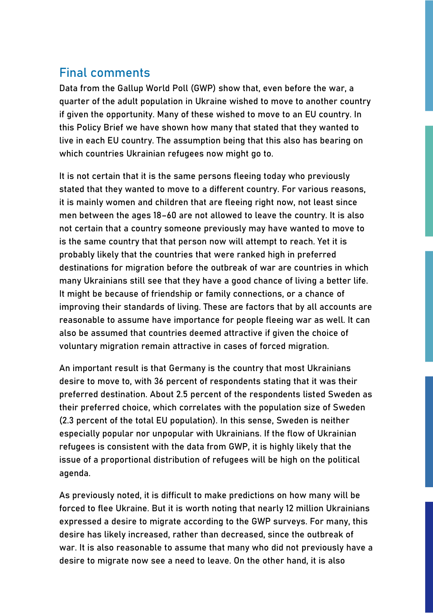## Final comments

Data from the Gallup World Poll (GWP) show that, even before the war, a quarter of the adult population in Ukraine wished to move to another country if given the opportunity. Many of these wished to move to an EU country. In this Policy Brief we have shown how many that stated that they wanted to live in each EU country. The assumption being that this also has bearing on which countries Ukrainian refugees now might go to.

It is not certain that it is the same persons fleeing today who previously stated that they wanted to move to a different country. For various reasons, it is mainly women and children that are fleeing right now, not least since men between the ages 18–60 are not allowed to leave the country. It is also not certain that a country someone previously may have wanted to move to is the same country that that person now will attempt to reach. Yet it is probably likely that the countries that were ranked high in preferred destinations for migration before the outbreak of war are countries in which many Ukrainians still see that they have a good chance of living a better life. It might be because of friendship or family connections, or a chance of improving their standards of living. These are factors that by all accounts are reasonable to assume have importance for people fleeing war as well. It can also be assumed that countries deemed attractive if given the choice of voluntary migration remain attractive in cases of forced migration.

An important result is that Germany is the country that most Ukrainians desire to move to, with 36 percent of respondents stating that it was their preferred destination. About 2.5 percent of the respondents listed Sweden as their preferred choice, which correlates with the population size of Sweden (2.3 percent of the total EU population). In this sense, Sweden is neither especially popular nor unpopular with Ukrainians. If the flow of Ukrainian refugees is consistent with the data from GWP, it is highly likely that the issue of a proportional distribution of refugees will be high on the political agenda.

As previously noted, it is difficult to make predictions on how many will be forced to flee Ukraine. But it is worth noting that nearly 12 million Ukrainians expressed a desire to migrate according to the GWP surveys. For many, this desire has likely increased, rather than decreased, since the outbreak of war. It is also reasonable to assume that many who did not previously have a desire to migrate now see a need to leave. On the other hand, it is also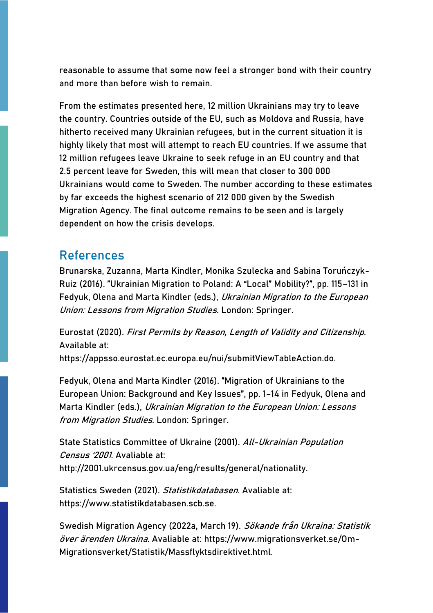reasonable to assume that some now feel a stronger bond with their country and more than before wish to remain.

From the estimates presented here, 12 million Ukrainians may try to leave the country. Countries outside of the EU, such as Moldova and Russia, have hitherto received many Ukrainian refugees, but in the current situation it is highly likely that most will attempt to reach EU countries. If we assume that 12 million refugees leave Ukraine to seek refuge in an EU country and that 2.5 percent leave for Sweden, this will mean that closer to 300 000 Ukrainians would come to Sweden. The number according to these estimates by far exceeds the highest scenario of 212 000 given by the Swedish Migration Agency. The final outcome remains to be seen and is largely dependent on how the crisis develops.

#### References

Brunarska, Zuzanna, Marta Kindler, Monika Szulecka and Sabina Toruńczyk-Ruiz (2016). "Ukrainian Migration to Poland: A "Local" Mobility?", pp. 115–131 in Fedyuk, Olena and Marta Kindler (eds.), Ukrainian Migration to the European Union: Lessons from Migration Studies. London: Springer.

Eurostat (2020). First Permits by Reason, Length of Validity and Citizenship. Available at: https://appsso.eurostat.ec.europa.eu/nui/submitViewTableAction.do.

Fedyuk, Olena and Marta Kindler (2016). "Migration of Ukrainians to the European Union: Background and Key Issues", pp. 1–14 in Fedyuk, Olena and Marta Kindler (eds.), Ukrainian Migration to the European Union: Lessons from Migration Studies. London: Springer.

State Statistics Committee of Ukraine (2001). All-Ukrainian Population Census '2001. Avaliable at: http://2001.ukrcensus.gov.ua/eng/results/general/nationality.

Statistics Sweden (2021). Statistikdatabasen. Avaliable at: https://www.statistikdatabasen.scb.se.

Swedish Migration Agency (2022a, March 19). Sökande från Ukraina: Statistik över ärenden Ukraina. Avaliable at: https://www.migrationsverket.se/Om-Migrationsverket/Statistik/Massflyktsdirektivet.html.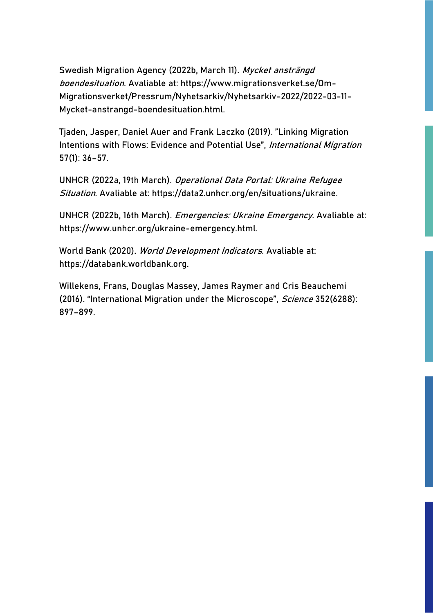Swedish Migration Agency (2022b, March 11). Mycket ansträngd boendesituation. Avaliable at: https://www.migrationsverket.se/Om-Migrationsverket/Pressrum/Nyhetsarkiv/Nyhetsarkiv-2022/2022-03-11- Mycket-anstrangd-boendesituation.html.

Tjaden, Jasper, Daniel Auer and Frank Laczko (2019). "Linking Migration Intentions with Flows: Evidence and Potential Use", International Migration 57(1): 36–57.

UNHCR (2022a, 19th March). Operational Data Portal: Ukraine Refugee Situation. Avaliable at: https://data2.unhcr.org/en/situations/ukraine.

UNHCR (2022b, 16th March). Emergencies: Ukraine Emergency. Avaliable at: https://www.unhcr.org/ukraine-emergency.html.

World Bank (2020). World Development Indicators. Avaliable at: https://databank.worldbank.org.

Willekens, Frans, Douglas Massey, James Raymer and Cris Beauchemi (2016). "International Migration under the Microscope", Science 352(6288): 897–899.